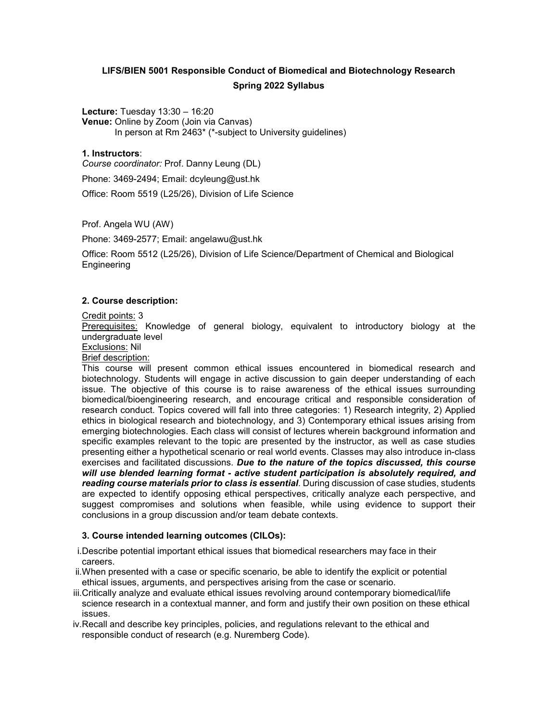# **LIFS/BIEN 5001 Responsible Conduct of Biomedical and Biotechnology Research Spring 2022 Syllabus**

**Lecture:** Tuesday 13:30 – 16:20 **Venue:** Online by Zoom (Join via Canvas) In person at Rm 2463\* (\*-subject to University guidelines)

## **1. Instructors**:

*Course coordinator:* Prof. Danny Leung (DL)

Phone: 3469-2494; Email: dcyleung@ust.hk

Office: Room 5519 (L25/26), Division of Life Science

Prof. Angela WU (AW)

Phone: 3469-2577; Email: angelawu@ust.hk

Office: Room 5512 (L25/26), Division of Life Science/Department of Chemical and Biological **Engineering** 

#### **2. Course description:**

Credit points: 3

Prerequisites: Knowledge of general biology, equivalent to introductory biology at the undergraduate level

Exclusions: Nil

Brief description:

This course will present common ethical issues encountered in biomedical research and biotechnology. Students will engage in active discussion to gain deeper understanding of each issue. The objective of this course is to raise awareness of the ethical issues surrounding biomedical/bioengineering research, and encourage critical and responsible consideration of research conduct. Topics covered will fall into three categories: 1) Research integrity, 2) Applied ethics in biological research and biotechnology, and 3) Contemporary ethical issues arising from emerging biotechnologies. Each class will consist of lectures wherein background information and specific examples relevant to the topic are presented by the instructor, as well as case studies presenting either a hypothetical scenario or real world events. Classes may also introduce in-class exercises and facilitated discussions. *Due to the nature of the topics discussed, this course will use blended learning format - active student participation is absolutely required, and reading course materials prior to class is essential*. During discussion of case studies, students are expected to identify opposing ethical perspectives, critically analyze each perspective, and suggest compromises and solutions when feasible, while using evidence to support their conclusions in a group discussion and/or team debate contexts.

## **3. Course intended learning outcomes (CILOs):**

i.Describe potential important ethical issues that biomedical researchers may face in their careers.

- ii.When presented with a case or specific scenario, be able to identify the explicit or potential ethical issues, arguments, and perspectives arising from the case or scenario.
- iii.Critically analyze and evaluate ethical issues revolving around contemporary biomedical/life science research in a contextual manner, and form and justify their own position on these ethical issues.
- iv.Recall and describe key principles, policies, and regulations relevant to the ethical and responsible conduct of research (e.g. Nuremberg Code).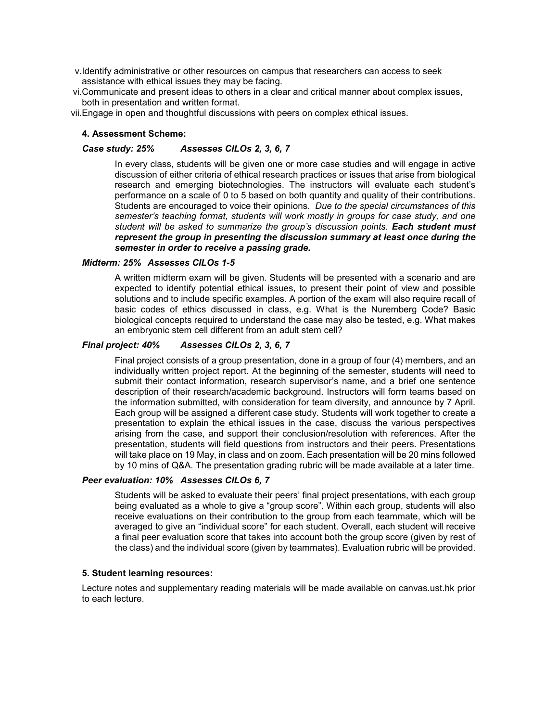- v.Identify administrative or other resources on campus that researchers can access to seek assistance with ethical issues they may be facing.
- vi.Communicate and present ideas to others in a clear and critical manner about complex issues, both in presentation and written format.

vii.Engage in open and thoughtful discussions with peers on complex ethical issues.

### **4. Assessment Scheme:**

## *Case study: 25% Assesses CILOs 2, 3, 6, 7*

In every class, students will be given one or more case studies and will engage in active discussion of either criteria of ethical research practices or issues that arise from biological research and emerging biotechnologies. The instructors will evaluate each student's performance on a scale of 0 to 5 based on both quantity and quality of their contributions. Students are encouraged to voice their opinions. *Due to the special circumstances of this semester's teaching format, students will work mostly in groups for case study, and one student will be asked to summarize the group's discussion points. Each student must represent the group in presenting the discussion summary at least once during the semester in order to receive a passing grade.* 

#### *Midterm: 25% Assesses CILOs 1-5*

A written midterm exam will be given. Students will be presented with a scenario and are expected to identify potential ethical issues, to present their point of view and possible solutions and to include specific examples. A portion of the exam will also require recall of basic codes of ethics discussed in class, e.g. What is the Nuremberg Code? Basic biological concepts required to understand the case may also be tested, e.g. What makes an embryonic stem cell different from an adult stem cell?

## *Final project: 40% Assesses CILOs 2, 3, 6, 7*

Final project consists of a group presentation, done in a group of four (4) members, and an individually written project report. At the beginning of the semester, students will need to submit their contact information, research supervisor's name, and a brief one sentence description of their research/academic background. Instructors will form teams based on the information submitted, with consideration for team diversity, and announce by 7 April. Each group will be assigned a different case study. Students will work together to create a presentation to explain the ethical issues in the case, discuss the various perspectives arising from the case, and support their conclusion/resolution with references. After the presentation, students will field questions from instructors and their peers. Presentations will take place on 19 May, in class and on zoom. Each presentation will be 20 mins followed by 10 mins of Q&A. The presentation grading rubric will be made available at a later time.

#### *Peer evaluation: 10% Assesses CILOs 6, 7*

Students will be asked to evaluate their peers' final project presentations, with each group being evaluated as a whole to give a "group score". Within each group, students will also receive evaluations on their contribution to the group from each teammate, which will be averaged to give an "individual score" for each student. Overall, each student will receive a final peer evaluation score that takes into account both the group score (given by rest of the class) and the individual score (given by teammates). Evaluation rubric will be provided.

#### **5. Student learning resources:**

Lecture notes and supplementary reading materials will be made available on canvas.ust.hk prior to each lecture.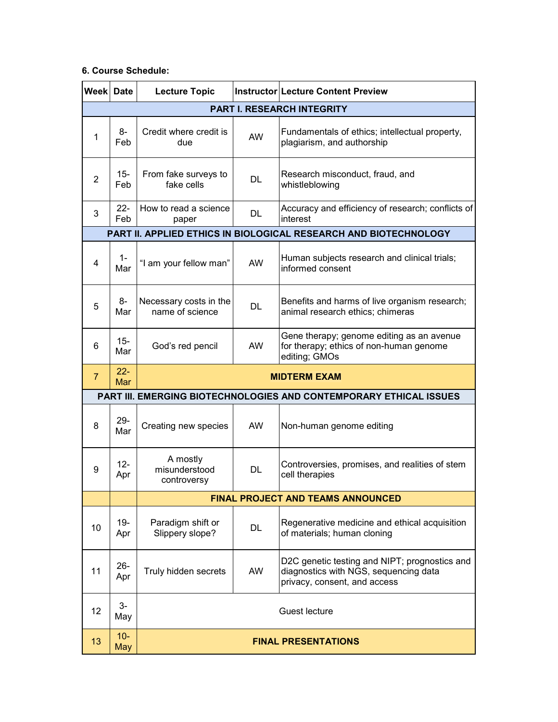## **6. Course Schedule:**

| <b>Week Date</b>                                                   |                      | <b>Lecture Topic</b>                      |           | <b>Instructor Lecture Content Preview</b>                                                                              |  |
|--------------------------------------------------------------------|----------------------|-------------------------------------------|-----------|------------------------------------------------------------------------------------------------------------------------|--|
| <b>PART I. RESEARCH INTEGRITY</b>                                  |                      |                                           |           |                                                                                                                        |  |
| 1                                                                  | 8-<br>Feb            | Credit where credit is<br>due             | <b>AW</b> | Fundamentals of ethics; intellectual property,<br>plagiarism, and authorship                                           |  |
| $\overline{2}$                                                     | $15 -$<br>Feb        | From fake surveys to<br>fake cells        | <b>DL</b> | Research misconduct, fraud, and<br>whistleblowing                                                                      |  |
| 3                                                                  | $22 -$<br>Feb        | How to read a science<br>paper            | DL        | Accuracy and efficiency of research; conflicts of<br>interest                                                          |  |
| PART II. APPLIED ETHICS IN BIOLOGICAL RESEARCH AND BIOTECHNOLOGY   |                      |                                           |           |                                                                                                                        |  |
| 4                                                                  | $1 -$<br>Mar         | "I am your fellow man"                    | <b>AW</b> | Human subjects research and clinical trials;<br>informed consent                                                       |  |
| 5                                                                  | 8-<br>Mar            | Necessary costs in the<br>name of science | <b>DL</b> | Benefits and harms of live organism research;<br>animal research ethics; chimeras                                      |  |
| 6                                                                  | $15 -$<br>Mar        | God's red pencil                          | <b>AW</b> | Gene therapy; genome editing as an avenue<br>for therapy; ethics of non-human genome<br>editing; GMOs                  |  |
| $\overline{7}$                                                     | $22 -$<br><b>Mar</b> | <b>MIDTERM EXAM</b>                       |           |                                                                                                                        |  |
| PART III. EMERGING BIOTECHNOLOGIES AND CONTEMPORARY ETHICAL ISSUES |                      |                                           |           |                                                                                                                        |  |
| 8                                                                  | $29 -$<br>Mar        | Creating new species                      | <b>AW</b> | Non-human genome editing                                                                                               |  |
| 9                                                                  | $12 -$<br>Apr        | A mostly<br>misunderstood<br>controversy  | DL.       | Controversies, promises, and realities of stem<br>cell therapies                                                       |  |
|                                                                    |                      | <b>FINAL PROJECT AND TEAMS ANNOUNCED</b>  |           |                                                                                                                        |  |
| 10                                                                 | $19 -$<br>Apr        | Paradigm shift or<br>Slippery slope?      | <b>DL</b> | Regenerative medicine and ethical acquisition<br>of materials; human cloning                                           |  |
| 11                                                                 | $26 -$<br>Apr        | Truly hidden secrets                      | AW        | D2C genetic testing and NIPT; prognostics and<br>diagnostics with NGS, sequencing data<br>privacy, consent, and access |  |
| 12                                                                 | $3-$<br>May          |                                           |           | Guest lecture                                                                                                          |  |
| 13                                                                 | $10-$<br>May         |                                           |           | <b>FINAL PRESENTATIONS</b>                                                                                             |  |